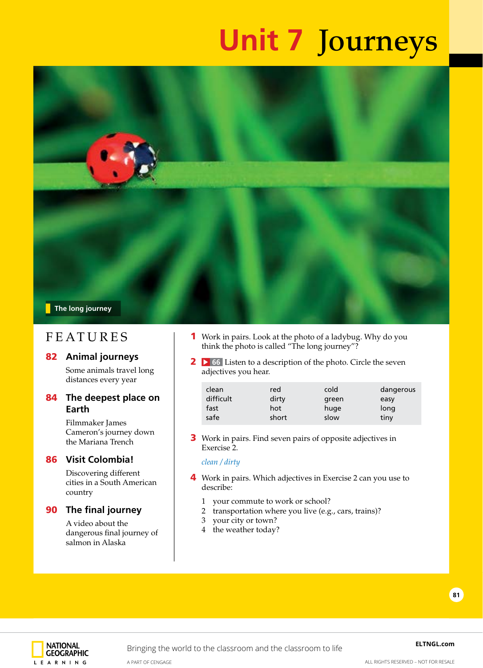# **Unit 7** Journeys



# FEATURES

# 82 **Animal journeys**

Some animals travel long distances every year

# 84 **The deepest place on Earth**

Filmmaker James Cameron's journey down the Mariana Trench

# 86 **Visit Colombia!**

Discovering different cities in a South American country

# 90 **The final journey**

A video about the dangerous final journey of salmon in Alaska

A PART OF CENGAGE

- 1 Work in pairs. Look at the photo of a ladybug. Why do you think the photo is called "The long journey"?
- **2 66** Listen to a description of the photo. Circle the seven adjectives you hear.

| clean     | red   | cold  | dangerous |
|-----------|-------|-------|-----------|
| difficult | dirty | green | easy      |
| fast      | hot   | huge  | long      |
| safe      | short | slow  | tiny      |

**3** Work in pairs. Find seven pairs of opposite adjectives in Exercise 2.

*clean / dirty*

- 4 Work in pairs. Which adjectives in Exercise 2 can you use to describe:
	- 1 your commute to work or school?
	- 2 transportation where you live (e.g., cars, trains)?
	- 3 your city or town?
	- 4 the weather today?



**81**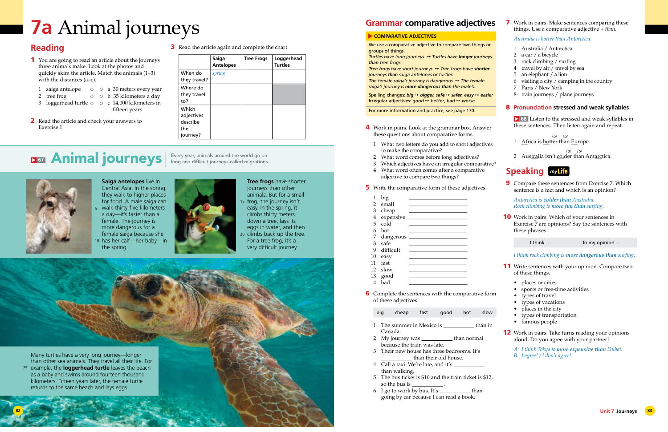# things. Use a comparative adjective + *than*.

*Australia is hotter than Antarctica.*

**68** Listen to the stressed and weak syllables in these sentences. Then listen again and repeat.

 $\frac{1}{2}$ 1 Africa is hotter than Europe.

- 1 Australia / Antarctica
- 2 a car / a bicycle
- 3 rock climbing / surfing
- 4 travel by air / travel by sea
- 5 an elephant / a lion
- 6 visiting a city / camping in the country
- 7 Paris / New York
- 8 train journeys / plane journeys

**9** Compare these sentences from Exercise 7. Which sentence is a fact and which is an opinion?

# 8 **Pronunciation stressed and weak syllables**

**10** Work in pairs. Which of your sentences in Exercise 7 are opinions? Say the sentences with these phrases.

I think … In my opinion …

/ə/ /ə/

2 Aus<u>tra</u>lia isn't <u>col</u>der than Ant<u>arc</u>tica.

# **Speaking** *my*

- **11** Write sentences with your opinion. Compare two of these things.
	- places or cities
	- sports or free-time activities
	- types of travel
	- types of vacations
	- places in the city
	- types of transportation
	- famous people
- **12** Work in pairs. Take turns reading your opinions aloud. Do you agree with your partner?

*Antarctica is colder than Australia. Rock climbing is more fun than surfing.* 

# *I think rock climbing is more dangerous than surfing.*

*The female saiga's journey is dangerous. → The female saiga's journey is more dangerous than the male's.*

> *A: I think Tokyo is more expensive than Dubai. B: I agree! / I don't agree!*



# **7 a** Animal journeys **1 Comparative adjectives 7** Work in pairs. Make sentences comparing these things. Use a comparative adjective + than.

# **Reading**

- 1 You are going to read an article about the journeys three animals make. Look at the photos and quickly skim the article. Match the animals (1–3) with the distances (a–c).
	- 1 saiga antelope o o a 30 meters every year
	- 2 tree frog
	- 3 loggerhead turtle  $\circ$   $\circ$  c 14,000 kilometers in
- $\circ$   $\circ$  b 35 kilometers a day fifteen years
- 2 Read the article and check your answers to Exercise 1.

# **Grammar comparative adjectives**

# **COMPARATIVE ADJECTIVES**

- We use a comparative adjective to compare two things or groups of things.
- *Turtles have long journeys.* ➙ *Turtles have longer journeys than tree frogs.*
- *Tree frogs have short journeys.* ➙ *Tree frogs have shorter journeys than saiga antelopes or turtles.*

Spelling changes: *big* ➙ *bigger, safe* ➙ *safer, easy* ➙ *easier* Irregular adjectives: *good* ➙ *better*, *bad* ➙ *worse*

For more information and practice, see page 170.

- 4 Work in pairs. Look at the grammar box. Answer these questions about comparative forms.
- 1 What two letters do you add to short adjectives to make the comparative?
- 2 What word comes before long adjectives?
- 3 Which adjectives have an irregular comparative?
- 4 What word often comes after a comparative adjective to compare two things?
- **5** Write the comparative form of these adjectives.

| 1<br>$\overline{2}$<br>3<br>4<br>5<br>6<br>7<br>8<br>9 | big<br>small<br>cheap<br>expensive<br>cold<br>hot<br>dangerous<br>safe<br>difficult | <u> Alexandria de la conte</u> |
|--------------------------------------------------------|-------------------------------------------------------------------------------------|--------------------------------|
|                                                        |                                                                                     |                                |
|                                                        |                                                                                     |                                |
|                                                        |                                                                                     |                                |
|                                                        |                                                                                     |                                |
|                                                        |                                                                                     |                                |
| 10                                                     | easy                                                                                |                                |
| 11                                                     | fast                                                                                |                                |
|                                                        | 12 slow                                                                             |                                |
| 13                                                     | good                                                                                |                                |
| 14                                                     | bad                                                                                 |                                |
|                                                        |                                                                                     |                                |

6 Complete the sentences with the comparative form of these adjectives.

| big                                         | cheap fast |  | qood                                              | hot slow |  |
|---------------------------------------------|------------|--|---------------------------------------------------|----------|--|
| Canada.                                     |            |  | 1 The summer in Mexico is ________________than in |          |  |
| 2 My journey was ______________ than normal |            |  |                                                   |          |  |
| because the train was late.                 |            |  |                                                   |          |  |
| 3 Their new house has three bedrooms. It's  |            |  |                                                   |          |  |
| than their old house.                       |            |  |                                                   |          |  |
| $C_2$ ll a tavi $W_0$ 'ro lato and it's     |            |  |                                                   |          |  |

- 4 Call a taxi. We're late, and it's than walking.
- 5 The bus ticket is \$10 and the train ticket is \$12, so the bus is \_
- 6 I go to work by bus. It's  $\frac{1}{100}$  than going by car because I can read a book.

|                                                    | <b>Saiga</b><br><b>Antelopes</b> | <b>Tree Frogs</b> | Loggerhead<br><b>Turtles</b> |
|----------------------------------------------------|----------------------------------|-------------------|------------------------------|
| When do<br>they travel?                            | spring                           |                   |                              |
| Where do<br>they travel<br>to?                     |                                  |                   |                              |
| Which<br>adjectives<br>describe<br>the<br>journey? |                                  |                   |                              |

**3** Read the article again and complete the chart.

# **Exery year, animals around the world go on** long and difficult journeys called migrations.



**Tree frogs** have shorter journeys than other animals. But for a small 15 frog, the journey isn't easy. In the spring, it climbs thirty meters down a tree, lays its eggs in water, and then 20 climbs back up the tree. For a tree frog, it's a very difficult journey.



**Saiga antelopes** live in Central Asia. In the spring, they walk to higher places for food. A male saiga can walk thirty-five kilometers a day—it's faster than a female. The journey is more dangerous for a female saiga because she 10 has her calf—her baby—in the spring. 5

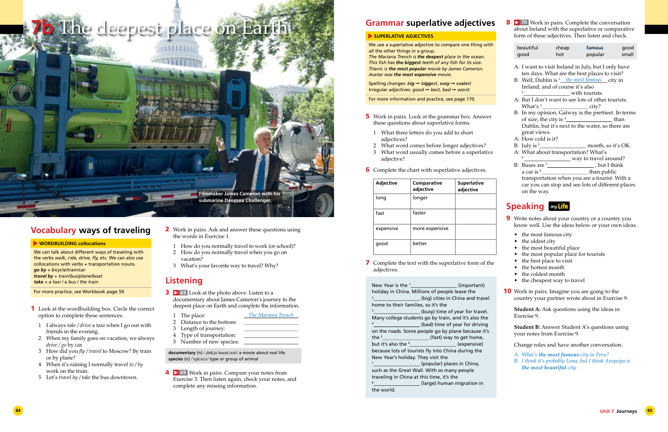about Ireland with the superlative or comparative form of these adjectives. Then listen and check.

| beautiful | cheap | famous  | good  |
|-----------|-------|---------|-------|
| good      | hot   | popular | small |

**9** Write notes about your country or a country you know well. Use the ideas below or your own ideas.

- A: I want to visit Ireland in July, but I only have ten days. What are the best places to visit? B: Well, Dublin is <sup>1</sup> the most famous city in
- Ireland, and of course it's also with tourists.
- A: But I don't want to see lots of other tourists. What's  $3$  city?
- B: In my opinion, Galway is the prettiest. In terms of size, the city is  $\frac{4}{1}$  than Dublin, but it's next to the water, so there are great views.
- A: How cold is it?
- B: July is  $5 \qquad \qquad \text{month}$ , so it's OK.
- A: What about transportation? What's
- way to travel around? B: Buses are  $\frac{7}{2}$  , but I think a car is  $\frac{8}{100}$  than public transportation when you are a tourist. With a car you can stop and see lots of different places on the way.

# **Speaking** *my*

We use a superlative adjective to compare one thing with all the other things in a group. *The Mariana Trench is the deepest place in the ocean. This fish has the biggest teeth of any fish for its size. Titanic is the most popular movie by James Cameron. Avatar was the most expensive movie.* 

- 5 Work in pairs. Look at the grammar box. Answer these questions about superlative forms.
	- 1 What three letters do you add to short adiectives?
	- 2 What word comes before longer adjectives?
	- 3 What word usually comes before a superlative adjective?
- **6** Complete the chart with superlative adjectives.

- the most famous city
- the oldest city
- the most beautiful place
- the most popular place for tourists
- the best place to visit
- the hottest month
- the coldest month
- the cheapest way to travel
- **10** Work in pairs. Imagine you are going to the country your partner wrote about in Exercise 9.

**7** Complete the text with the superlative form of the adjectives.

> **Student A:** Ask questions using the ideas in Exercise 9.

**Student B:** Answer Student A's questions using your notes from Exercise 9.

Change roles and have another conversation.

- *A: What's the most famous city in Peru?*
- *B: I think it's probably Lima, but I think Arequipa is the most beautiful city.*

# **Grammar superlative adjectives**

## **SUPERLATIVE ADJECTIVES**

Spelling changes: *big* ➙ *biggest, easy* ➙ *easiest* Irregular adjectives: *good* ➙ *best, bad* ➙ *worst*

For more information and practice, see page 170.

- **3 69** Look at the photo above. Listen to a documentary about James Cameron's journey to the deepest place on Earth and complete the information.
	-
- 
- 
- 

**4 69** Work in pairs. Compare your notes from Exercise 3. Then listen again, check your notes, and complete any missing information.

| <b>Adjective</b> | <b>Comparative</b><br>adjective | <b>Superlative</b><br>adjective |
|------------------|---------------------------------|---------------------------------|
| long             | longer                          |                                 |
| fast             | faster                          |                                 |
| expensive        | more expensive                  |                                 |
| good             | better                          |                                 |

# **7b The deepest place on Earth Earth 1999** Supervalue adjectives **8 2** 70 Work in pairs. Complete the conversation about Ireland with the superlative or comparative or comparative **1999** Supervalue Conversation about

# **Vocabulary ways of traveling**

### **WORDBUILDING collocations**

We can talk about different ways of traveling with the verbs *walk, ride, drive, fly,* etc*.* We can also use collocations with verbs + transportation nouns. *go by + bicycle/train/car travel by + train/bus/plane/boat take + a taxi / a bus / the train*

For more practice, see Workbook page 59.

- 1 Look at the wordbuilding box. Circle the correct option to complete these sentences.
- 1 I always *take / drive* a taxi when I go out with friends in the evening.
- 2 When my family goes on vacation, we always *drive / go* by car.
- 3 How did you *fly / travel* to Moscow? By train or by plane?
- 4 When it's raining I normally travel *to / by* work on the train.
- 5 Let's *travel by / take* the bus downtown.

|                                           | (important)                                                                    |
|-------------------------------------------|--------------------------------------------------------------------------------|
|                                           | holiday in China. Millions of people leave the                                 |
| 2                                         | (big) cities in China and travel                                               |
| home to their families, so it's the       |                                                                                |
|                                           | <sup>3</sup> <sub>_______________________(busy) time of year for travel.</sub> |
|                                           | Many college students go by train, and it's also the                           |
| 4                                         | (bad) time of year for driving                                                 |
|                                           | on the roads. Some people go by plane because it's                             |
| the <sup>5</sup>                          | (fast) way to get home,                                                        |
|                                           | but it's also the <sup>6</sup> ___________________(expensive)                  |
|                                           | because lots of tourists fly into China during the                             |
| New Year's holiday. They visit the        |                                                                                |
| 7                                         | (popular) places in China,                                                     |
|                                           | such as the Great Wall. With so many people                                    |
| traveling in China at this time, it's the |                                                                                |
| 8                                         | (large) human migration in                                                     |
| the world.                                |                                                                                |

2 Work in pairs. Ask and answer these questions using the words in Exercise 1.

- 1 How do you normally travel to work (or school)?
- 2 How do you normally travel when you go on vacation?
- 3 What's your favorite way to travel? Why?

# **Listening**

- 1 The place: *The Mariana Trench* 2 Distance to the bottom: 3 Length of journey:
- 4 Type of transportation:
- 5 Number of new species:

**documentary** (n) /ˌdɒkjʊˈment(ə)ri/ a movie about real life

**species** (n) /ˈspiːsiːz/ type or group of animal

**Filmmaker James Cameron with his submarine Deepsea Challenger.**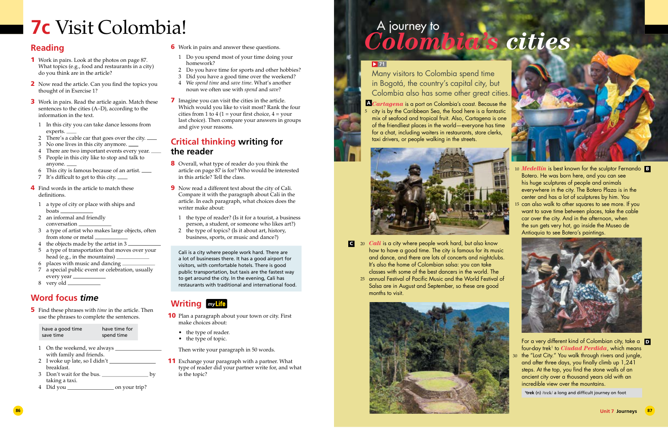# **7c** Visit Colombia!

- 6 Work in pairs and answer these questions.
	- 1 Do you spend most of your time doing your homework?
	- 2 Do you have time for sports and other hobbies?
	- 3 Did you have a good time over the weekend?
	- 4 We *spend time* and *save time*. What's another noun we often use with *spend* and *save*?
- **7** Imagine you can visit the cities in the article. Which would you like to visit most? Rank the four cities from 1 to 4 (1 = your first choice,  $4 =$  your last choice). Then compare your answers in groups and give your reasons.

- 8 Overall, what type of reader do you think the article on page 87 is for? Who would be interested in this article? Tell the class.
- 9 Now read a different text about the city of Cali. Compare it with the paragraph about Cali in the article. In each paragraph, what choices does the writer make about:
	- 1 the type of reader? (Is it for a tourist, a business person, a student, or someone who likes art?)
	- 2 the type of topics? (Is it about art, history, business, sports, or music and dance?)

# **Critical thinking writing for the reader**

- **10** Plan a paragraph about your town or city. First make choices about:
	- the type of reader.
	- the type of topic.

**11** Exchange your paragraph with a partner. What type of reader did your partner write for, and what is the topic?

# A journey to<br>Colombia's cities

# $71$

Cali is a city where people work hard. There are a lot of businesses there. It has a good airport for visitors, with comfortable hotels. There is good public transportation, but taxis are the fastest way to get around the city. In the evening, Cali has restaurants with traditional and international food.

# **Writing** *my*

Then write your paragraph in 50 words.

# **Reading**

*Cartagena* is a port on Colombia's coast. Because the city is by the Caribbean Sea, the food here is a fantastic 5 mix of seafood and tropical fruit. Also, Cartagena is one of the friendliest places in the world—everyone has time for a chat, including waiters in restaurants, store clerks, taxi drivers, or people walking in the streets.



- 1 Work in pairs. Look at the photos on page 87. What topics (e.g., food and restaurants in a city) do you think are in the article?
- 2 Now read the article. Can you find the topics you thought of in Exercise 1?
- **3** Work in pairs. Read the article again. Match these sentences to the cities (A–D), according to the information in the text.
- 1 In this city you can take dance lessons from experts.
- 2 There's a cable car that goes over the city.
- 3 No one lives in this city anymore.
- 4 There are two important events every year. 5 People in this city like to stop and talk to anyone.
- 6 This city is famous because of an artist.
- 7 It's difficult to get to this city.
- 4 Find words in the article to match these definitions.
- 1 a type of city or place with ships and boats
- 2 an informal and friendly conversation
- 3 a type of artist who makes large objects, often from stone or metal
- 4 the objects made by the artist in 3
- 5 a type of transportation that moves over your head (e.g., in the mountains)
- 6 places with music and dancing
- 7 a special public event or celebration, usually every year
- 8 very old

# **Word focus** *time*

5 Find these phrases with *time* in the article. Then use the phrases to complete the sentences.

| have time for |
|---------------|
| spend time    |
|               |

- 1 On the weekend, we always with family and friends.
- 2 I woke up late, so I didn't breakfast.
- 3 Don't wait for the bus. by taking a taxi.
- 4 Did you on your trip?
- *Cali* is a city where people work hard, but also know 20 C how to have a good time. The city is famous for its music and dance, and there are lots of concerts and nightclubs. It's also the home of Colombian salsa: you can take classes with some of the best dancers in the world. The annual Festival of Pacific Music and the World Festival of 25
	- Salsa are in August and September, so these are good months to visit.
- *Medellín* is best known for the sculptor Fernando B Botero. He was born here, and you can see his huge sculptures of people and animals everywhere in the city. The Botero Plaza is in the center and has a lot of sculptures by him. You 10
- can also walk to other squares to see more. If you want to save time between places, take the cable car over the city. And in the afternoon, when the sun gets very hot, go inside the Museo de Antioquia to see Botero's paintings. 15



For a very different kind of Colombian city, take a D four-day trek1 to *Ciudad Perdida*, which means the "Lost City." You walk through rivers and jungle, and after three days, you finally climb up 1,241 steps. At the top, you find the stone walls of an ancient city over a thousand years old with an incredible view over the mountains.

**1 trek** (n) /trek/ a long and difficult journey on foot

Many visitors to Colombia spend time in Bogotá, the country's capital city, but Colombia also has some other great cities.

30



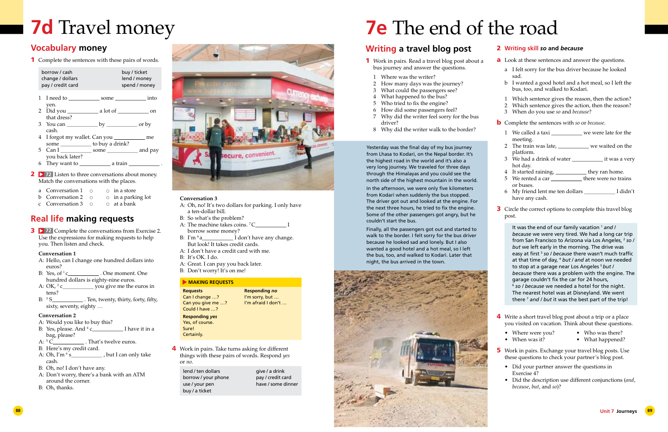# **7d** Travel money **7e** The end of the road

# 2 **Writing skill** *so* **and** *because*

- a Look at these sentences and answer the questions*.* 
	- a I felt sorry for the bus driver because he looked sad.
	- b I wanted a good hotel and a hot meal, so I left the bus, too, and walked to Kodari.
	- 1 Which sentence gives the reason, then the action?
	- 2 Which sentence gives the action, then the reason?
	- 3 When do you use *so* and *because*?

b Complete the sentences with *so* or *because*.

- 1 We called a taxi we were late for the meeting.
- 2 The train was late, we waited on the platform.
- 3 We had a drink of water \_\_\_\_\_\_\_\_\_\_\_\_\_\_ it was a very hot day.
- 4 It started raining, \_\_\_\_\_\_\_\_\_\_\_ they ran home.
- 5 We rented a car <u>there</u> were no trains or buses.
- 6 My friend lent me ten dollars \_\_\_\_\_\_\_\_\_\_\_\_\_ I didn't have any cash.
- 3 Circle the correct options to complete this travel blog post.

- Write a short travel blog post about a trip or a place you visited on vacation. Think about these questions.
	- Where were you?
- Who was there?
- 
- 
- When was it?
- What happened?
- 5 Work in pairs. Exchange your travel blog posts. Use these questions to check your partner's blog post.
	- Did your partner answer the questions in Exercise 4?
	- Did the description use different conjunctions (*and*, *because*, *but*, and *so*)?

It was the end of our family vacation 1 *and / because* we were very tired. We had a long car trip from San Francisco to Arizona via Los Angeles, 2 *so / but* we left early in the morning. The drive was easy at first 3 *so / because* there wasn't much traffic at that time of day, 4 *but / and* at noon we needed to stop at a garage near Los Angeles 5 *but / because* there was a problem with the engine. The garage couldn't fix the car for 24 hours, <sup>6</sup> *so / because* we needed a hotel for the night. The nearest hotel was at Disneyland. We went there 7 *and / but* it was the best part of the trip!

**2**  $\triangleright$  **72** Listen to three conversations about money. Match the conversations with the places.

- a Conversation 1  $\circ$  in a store
- b Conversation 2 0  $\circ$  in a parking lot
- c Conversation 3  $\circ$  at a bank

# **Writing a travel blog post**

**3**  $\triangleright$  72 Complete the conversations from Exercise 2. Use the expressions for making requests to help you. Then listen and check.

- 1 Work in pairs. Read a travel blog post about a bus journey and answer the questions.
	- 1 Where was the writer?
- 2 How many days was the journey?
- 3 What could the passengers see?
- 4 What happened to the bus?
- 5 Who tried to fix the engine?
- 6 How did some passengers feel?
- 7 Why did the writer feel sorry for the bus driver?
- 8 Why did the writer walk to the border?

# **Conversation 3**

- A: Oh, no! It's two dollars for parking. I only have a ten-dollar bill.
- B: So what's the problem?
- A: The machine takes coins. <sup>7</sup>C\_ borrow some money?
- B: I'm  $a^8a$  I don't have any change. But look! It takes credit cards.
- A: I don't have a credit card with me.
- B: It's OK. I do.
- A: Great. I can pay you back later.
- B: Don't worry! It's on me!

# **MAKING REQUESTS**

**Requests** Can I change …?

Can you give me …? Could I have …?

**Responding** *no* I'm sorry, but …

I'm afraid I don't …

- **Responding** *yes* Yes, of course. Sure! Certainly.
- 4 Work in pairs. Take turns asking for different things with these pairs of words. Respond *yes* or *no*.
	- lend / ten dollars give / a drink borrow / your phone pay / credit card use / your pen have / some dinner buy / a ticket

# **Vocabulary money**

1 Complete the sentences with these pairs of words.

| borrow / cash<br>change / dollars<br>pay / credit card | buy / ticket<br>lend / money<br>spend / money      |
|--------------------------------------------------------|----------------------------------------------------|
| yen.                                                   | 1 I need to _____________ some ______________ into |
| that dress?                                            |                                                    |
| cash.                                                  | 3 You can _______________ by ______________ or by  |
|                                                        | 4 I forgot my wallet. Can you _____________ me     |
| some _______________ to buy a drink?                   |                                                    |
| 5.                                                     | Can I ______________ some ________________ and pay |
| you back later?                                        |                                                    |
| 6                                                      |                                                    |
|                                                        |                                                    |

# **Real life making requests**

# **Conversation 1**

- A: Hello, can I change one hundred dollars into euros?
- B: Yes, of  ${}^{1}C$  . One moment. One hundred dollars is eighty-nine euros.
- A: OK,  $2c$   $\sim$  you give me the euros in tens?
- $B: \ ^{3}S$ <sub>\_\_\_</sub> **Solution** Ten, twenty, thirty, forty, fifty, sixty, seventy, eighty …

# **Conversation 2**

- A: Would you like to buy this?
- B: Yes, please. And <sup>4</sup> c\_\_\_\_\_\_\_ **c** I have it in a bag, please?
- A: <sup>5</sup> C\_\_\_\_\_\_\_\_\_\_\_\_\_\_\_. That's twelve euros.
- B: Here's my credit card.
- A: Oh, I'm  $6s$  , but I can only take cash.
- B: Oh, no! I don't have any.
- A: Don't worry, there's a bank with an ATM around the corner.
- B: Oh, thanks.



Yesterday was the final day of my bus journey from Lhasa to Kodari, on the Nepal border. It's the highest road in the world and it's also a very long journey. We traveled for three days

through the Himalayas and you could see the north side of the highest mountain in the world. In the afternoon, we were only five kilometers from Kodari when suddenly the bus stopped. The driver got out and looked at the engine. For

the next three hours, he tried to fix the engine. Some of the other passengers got angry, but he couldn't start the bus.

Finally, all the passengers got out and started to walk to the border. I felt sorry for the bus driver because he looked sad and lonely. But I also wanted a good hotel and a hot meal, so I left the bus, too, and walked to Kodari. Later that night, the bus arrived in the town.

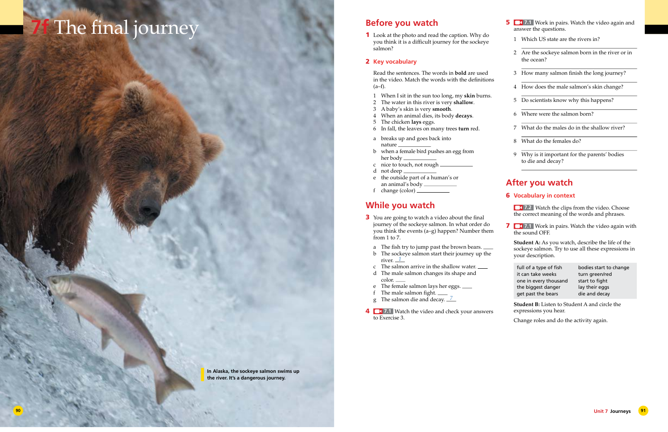# **7 The final journey 1** Look at the photo and read the caption. Why do **5 1.1** Work in pairs. Watch the video again and answer the questions.

**In Alaska, the sockeye salmon swims up the river. It's a dangerous journey.**

**7.2** Watch the clips from the video. Choose the correct meaning of the words and phrases.

- answer the questions.
- 1 Which US state are the rivers in?
- 2 Are the sockeye salmon born in the river or in the ocean?
- 3 How many salmon finish the long journey?
- 4 How does the male salmon's skin change?
- 5 Do scientists know why this happens?
- 6 Where were the salmon born?
- 7 What do the males do in the shallow river?
- 8 What do the females do?
- 9 Why is it important for the parents' bodies to die and decay?

**7 1** 7.1 Work in pairs. Watch the video again with the sound OFF.

# **After you watch**

# 6 **Vocabulary in context**

Read the sentences. The words in **bold** are used in the video. Match the words with the definitions  $(a-f)$ .

> **Student A:** As you watch, describe the life of the sockeye salmon. Try to use all these expressions in your description.

| full of a type of fish |
|------------------------|
| it can take weeks      |
| one in every thousand  |
| the biggest danger     |
| get past the bears     |

bodies start to change turn green/red start to fight lay their eggs die and decay

**Student B:** Listen to Student A and circle the expressions you hear.

Change roles and do the activity again.

# **Before you watch**

1 Look at the photo and read the caption. Why do you think it is a difficult journey for the sockeye salmon?

## 2 **Key vocabulary**

- 1 When I sit in the sun too long, my **skin** burns.
- 2 The water in this river is very **shallow**.
- 3 A baby's skin is very **smooth**.
- 4 When an animal dies, its body **decays**.
- 5 The chicken **lays** eggs.
- 6 In fall, the leaves on many trees **turn** red.
- a breaks up and goes back into nature
- b when a female bird pushes an egg from her body
- c nice to touch, not rough
- d not deep
- e the outside part of a human's or an animal's body
- f change (color)

# **While you watch**

- 3 You are going to watch a video about the final journey of the sockeye salmon. In what order do you think the events (a–g) happen? Number them from 1 to 7.
- a The fish try to jump past the brown bears.
- b The sockeye salmon start their journey up the river. *1*
- c The salmon arrive in the shallow water.
- d The male salmon changes its shape and color.
- e The female salmon lays her eggs.
- f The male salmon fight.
- g The salmon die and decay. *7*
- **4 17.1** Watch the video and check your answers to Exercise 3.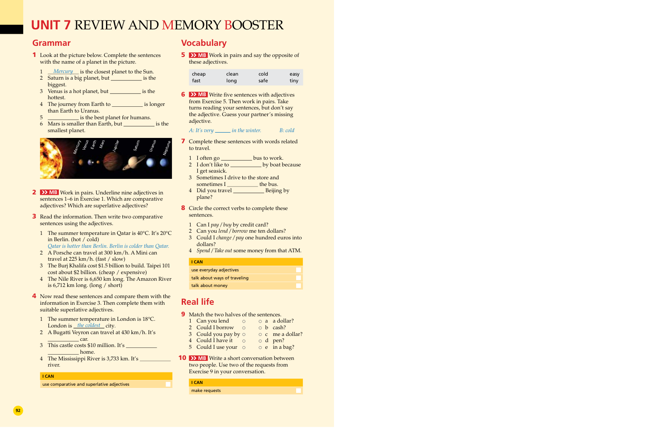# **UNIT 7** REVIEW AND MEMORY BOOSTER

# **Grammar**

- 1 Look at the picture below. Complete the sentences with the name of a planet in the picture.
	- 1 *Mercury* is the closest planet to the Sun.
	- 2 Saturn is a big planet, but in the issue of the biggest.
	- $3$  Venus is a hot planet, but is the hottest.
	- 4 The journey from Earth to \_\_\_\_\_\_\_\_\_\_\_\_ is longer than Earth to Uranus.
	- 5 is the best planet for humans.
	- 6 Mars is smaller than Earth, but  $\frac{1}{\sqrt{1-\frac{1}{\sqrt{1-\frac{1}{\sqrt{1-\frac{1}{\sqrt{1-\frac{1}{\sqrt{1-\frac{1}{\sqrt{1-\frac{1}{\sqrt{1-\frac{1}{\sqrt{1-\frac{1}{\sqrt{1-\frac{1}{\sqrt{1-\frac{1}{\sqrt{1-\frac{1}{\sqrt{1-\frac{1}{\sqrt{1-\frac{1}{\sqrt{1-\frac{1}{\sqrt{1-\frac{1}{\sqrt{1-\frac{1}{\sqrt{1-\frac{1}{\sqrt{1-\frac{1}{\sqrt{1-\frac{1}{\sqrt{1-\frac{1}{\$ smallest planet.

- **2**  $\rightarrow$  **MB** Work in pairs. Underline nine adjectives in sentences 1–6 in Exercise 1. Which are comparative adjectives? Which are superlative adjectives?
- **3** Read the information. Then write two comparative sentences using the adjectives.
	- 1 The summer temperature in Qatar is 40°C. It's 20°C in Berlin. (hot / cold)



**5**  $\rightarrow$  **MB** Work in pairs and say the opposite of these adjectives.

 *Qatar is hotter than Berlin. Berlin is colder than Qatar.*

**6 → MB** Write five sentences with adjectives from Exercise 5. Then work in pairs. Take turns reading your sentences, but don't say the adjective. Guess your partner's missing adjective.

*A: It's very in the winter. B: cold* 

- 2 A Porsche can travel at 300 km/h. A Mini can travel at 225 km/h. (fast / slow)
- 3 The Burj Khalifa cost \$1.5 billion to build. Taipei 101 cost about \$2 billion. (cheap / expensive)
- 4 The Nile River is 6,650 km long. The Amazon River is 6,712 km long. (long / short)
- 4 Now read these sentences and compare them with the information in Exercise 3. Then complete them with suitable superlative adjectives.
	- 1 The summer temperature in London is 18°C. London is *\_the coldest* city.
	- 2 A Bugatti Veyron can travel at 430 km/h. It's  $\_ car.$
	- 3 This castle costs \$10 million. It's home.
	- 4 The Mississippi River is 3,733 km. It's river.
- **7** Complete these sentences with words related to travel.
- 1 I often go <u>second</u> bus to work.
- 2 I don't like to \_\_\_\_\_\_\_\_\_\_\_\_\_ by boat because I get seasick.
- 3 Sometimes I drive to the store and sometimes I the bus.
- 4 Did you travel Beijing by plane?
- 8 Circle the correct verbs to complete these sentences.
	- 1 Can I *pay / buy* by credit card?
	- 2 Can you *lend / borrow* me ten dollars?
- 3 Could I *change / pay* one hundred euros into dollars?
- 4 *Spend / Take out* some money from that ATM.

- 1 Can you lend  $\circ$   $\circ$  a a dollar?
- 2 Could I borrow  $\circ$   $\circ$   $\circ$   $\circ$   $\circ$   $\circ$   $\circ$  cash? 3 Could you pay by  $\circ \circ \circ \circ \text{me a dollar?}$
- 4 Could I have it  $\circ$   $\circ$   $\circ$  d pen?
- 
- 5 Could I use your  $\circ$   $\circ$   $\circ$  in a bag?
- 10 >> MB Write a short conversation between
- two people. Use two of the requests from Exercise 9 in your conversation.

### **I CAN**

use comparative and superlative adjectives

# **Vocabulary**

| cheap | clean | cold | easy |
|-------|-------|------|------|
| fast  | long  | safe | tiny |

## **I CAN**

| use everyday adjectives      |  |
|------------------------------|--|
| talk about ways of traveling |  |
| talk about money             |  |
|                              |  |

# **Real life**

## **9** Match the two halves of the sentences.

# **I CAN**

make requests